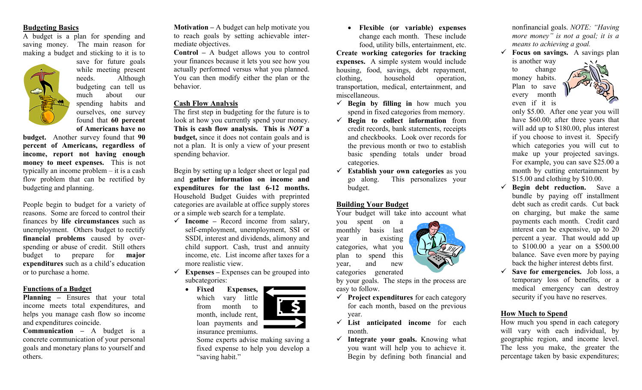#### **Budgeting Basics**

A budget is a plan for spending and saving money. The main reason for making a budget and sticking to it is to



while meeting present needs. Although budgeting can tell us much about our spending habits and ourselves, one survey found that **60 percent of Americans have no** 

save for future goals

**budget.** Another survey found that **90 percent of Americans, regardless of income, report not having enough money to meet expenses.** This is not typically an income problem – it is a cash flow problem that can be rectified by budgeting and planning.

People begin to budget for a variety of reasons. Some are forced to control their finances by **life circumstances** such as unemployment. Others budget to rectify **financial problems** caused by overspending or abuse of credit. Still others budget to prepare for **major expenditures** such as a child's education or to purchase a home.

#### **Functions of a Budget**

**Planning –** Ensures that your total income meets total expenditures, and helps you manage cash flow so income and expenditures coincide.

**Communication –** A budget is a concrete communication of your personal goals and monetary plans to yourself and others.

**Motivation –** A budget can help motivate you to reach goals by setting achievable intermediate objectives.

**Control –** A budget allows you to control your finances because it lets you see how you actually performed versus what you planned. You can then modify either the plan or the behavior.

## **Cash Flow Analysis**

The first step in budgeting for the future is to look at how you currently spend your money. **This is cash flow analysis. This is** *NOT* **a budget,** since it does not contain goals and is not a plan. It is only a view of your present spending behavior.

Begin by setting up a ledger sheet or legal pad and **gather information on income and expenditures for the last 6-12 months.** Household Budget Guides with preprinted categories are available at office supply stores or a simple web search for a template.

- ✓ **Income –** Record income from salary, self-employment, unemployment, SSI or SSDI, interest and dividends, alimony and child support. Cash, trust and annuity income, etc. List income after taxes for a more realistic view.
- $\checkmark$  **Expenses** Expenses can be grouped into subcategories:
	- **Fixed Expenses,**  which vary little from month to month, include rent, loan payments and
		- insurance premiums.

Some experts advise making saving a fixed expense to help you develop a "saving habit."

• **Flexible (or variable) expenses**  change each month. These include food, utility bills, entertainment, etc.

**Create working categories for tracking expenses.** A simple system would include housing, food, savings, debt repayment, clothing, household operation, transportation, medical, entertainment, and miscellaneous.

- ✓ **Begin by filling in** how much you spend in fixed categories from memory.
- ✓ **Begin to collect information** from credit records, bank statements, receipts and checkbooks. Look over records for the previous month or two to establish basic spending totals under broad categories.
- ✓ **Establish your own categories** as you go along. This personalizes your budget.

### **Building Your Budget**

Your budget will take into account what

you spent on a monthly basis last year in existing categories, what you plan to spend this year, and new categories generated



by your goals. The steps in the process are easy to follow.

- ✓ **Project expenditures** for each category for each month, based on the previous year.
- ✓ **List anticipated income** for each month.
- ✓ **Integrate your goals.** Knowing what you want will help you to achieve it. Begin by defining both financial and

nonfinancial goals. *NOTE: "Having more money" is not a goal; it is a means to achieving a goal.*

✓ **Focus on savings.** A savings plan is another way

to change money habits. Plan to save every month even if it is



only \$5.00. After one year you will have \$60.00; after three years that will add up to \$180.00, plus interest if you choose to invest it. Specify which categories you will cut to make up your projected savings. For example, you can save \$25.00 a month by cutting entertainment by \$15.00 and clothing by \$10.00.

- ✓ **Begin debt reduction.** Save a bundle by paying off installment debt such as credit cards. Cut back on charging, but make the same payments each month. Credit card interest can be expensive, up to 20 percent a year. That would add up to \$100.00 a year on a \$500.00 balance. Save even more by paying back the higher interest debts first.
- ✓ **Save for emergencies.** Job loss, a temporary loss of benefits, or a medical emergency can destroy security if you have no reserves.

## **How Much to Spend**

How much you spend in each category will vary with each individual, by geographic region, and income level. The less you make, the greater the percentage taken by basic expenditures;